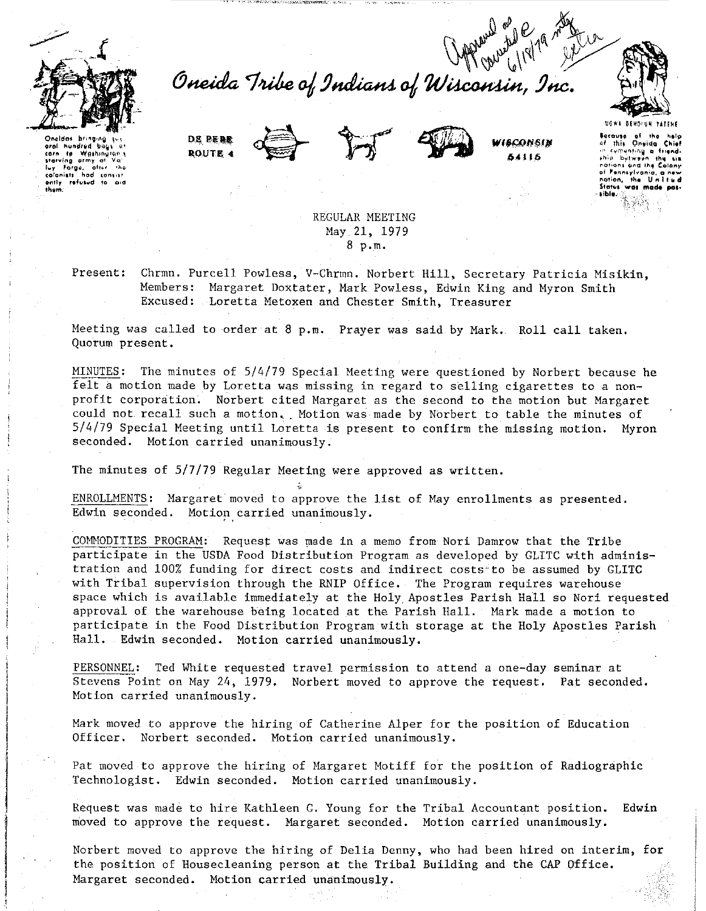

Oneida Tribe of Indians of Wisconsin, Inc.





WISCONSIN 841 L.S



Bocause of the<br>of this Onsida

rementing a

**Dyfwy**i .hio nations and the of Fennsylvn nation, the Ur<br>Status was mad

hundred but corn to Washington the starting army at Valley Forge, after the colonists had consist th ann

> REGULAR MEETING May 21, 1979 8 p.m.

Present:

Chrmn. Purcell Powless, V-Chrmn. Norbert Hill, Secretary Patricia Misikin. Members: Margaret Doxtater, Mark Powless, Edwin King and Myron Smith Excused: Loretta Metoxen and Chester Smith, Treasurer

Meeting was called to order at 8 p.m. Prayer was said by Mark. Roll call taken. Quorum present.

MINUTES: The minutes of 5/4/79 Special Meeting were questioned by Norbert because he felt a motion made by Loretta was missing in regard to selling cigarettes to a nonprofit corporation. Norbert cited Margaret as the second to the motion but Margaret could not recall such a motion. Motion was made by Norbert to table the minutes of 5/4/79 Special Meeting until Loretta is present to confirm the missing motion. Myron seconded. Motion carried unanimously.

The minutes of 5/7/79 Regular Meeting were approved as written.

ENROLLMENTS: Margaret moved to approve the list of May enrollments as presented. Edwin seconded. Motion carried unanimously.

COMMODITIES PROGRAM: Request was made in a memo from Nori Damrow that the Tribe participate in the USDA Food Distribution Program as developed by GLITC with administration and 100% funding for direct costs and indirect costs to be assumed by GLITC with Tribal supervision through the RNIP Office. The Program requires warehouse space which is available immediately at the Holy Apostles Parish Hall so Nori requested approval of the warehouse being located at the Parish Hall. Mark made a motion to participate in the Food Distribution Program with storage at the Holy Apostles Parish Hall. Edwin seconded. Motion carried unanimously.

PERSONNEL: Ted White requested travel permission to attend a one-day seminar at Stevens Point on May 24, 1979. Norbert moved to approve the request. Pat seconded. Motion carried unanimously.

Mark moved to approve the hiring of Catherine Alper for the position of Education Officer. Norbert seconded. Motion carried unanimously.

Pat moved to approve the hiring of Margaret Motiff for the position of Radiographic Technologist. Edwin seconded. Motion carried unanimously.

Request was made to hire Kathleen G. Young for the Tribal Accountant position. Edwin moved to approve the request. Margaret seconded. Motion carried unanimously.

Norbert moved to approve the hiring of Delia Denny, who had been hired on interim, for the position of Housecleaning person at the Tribal Building and the CAP Office. Margaret seconded. Motion carried unanimously.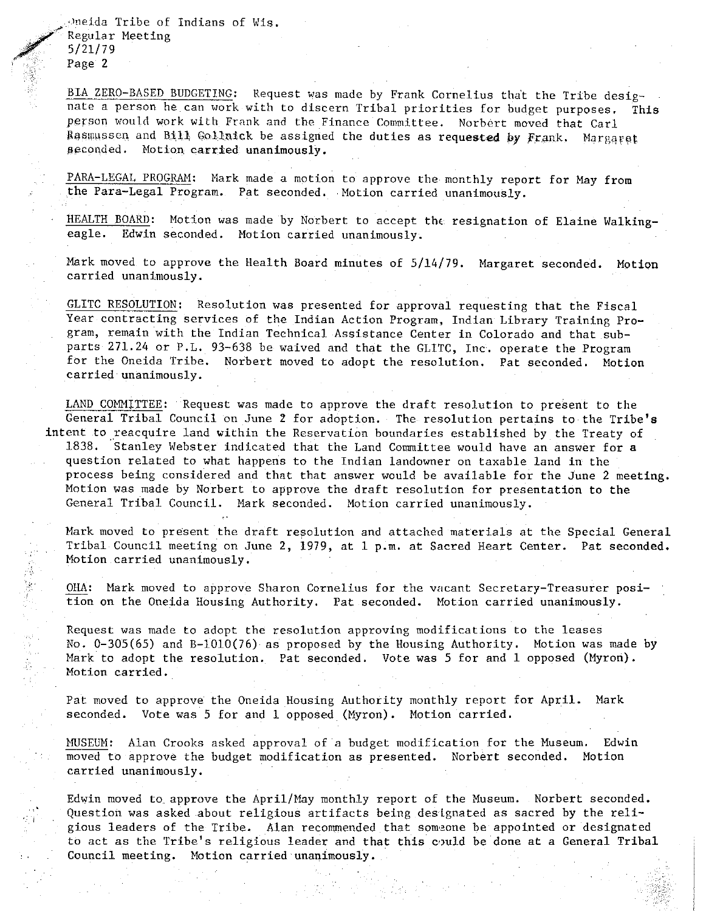Oneida Tribe of Indians of Wis. Regular Meeting<br>5/21/79 Page 2

 $\label{eq:3} \begin{split} \mathcal{L}_{\mathcal{A}}^{\mathcal{A}}\left(\mathcal{L}_{\mathcal{A}}^{\mathcal{A}}\right) & =\mathcal{L}_{\mathcal{A}}^{\mathcal{A}}\left(\mathcal{L}_{\mathcal{A}}^{\mathcal{A}}\right) \left(\mathcal{L}_{\mathcal{A}}^{\mathcal{A}}\right) \left(\mathcal{L}_{\mathcal{A}}^{\mathcal{A}}\right) \left(\mathcal{L}_{\mathcal{A}}^{\mathcal{A}}\right) \left(\mathcal{L}_{\mathcal{A}}^{\mathcal{A}}\right) & =\mathcal{L}_{\mathcal{A}}^{\mathcal{A}}\left(\$ 

BIA ZERO-BASED BUDGETING: Request was made by Frank Cornelius tha't the Tribe designate a person he can work with to discern Tribal priorities for budget purposes. This person would work with Frank and the Finance Committee. Norbert moved that Carl Rasmussen and Bill Gollnick be assigned the duties as requested by Frank. Margaret 11econded. Notion carried unanimously.

PARA-LEGAL PROGRAM: Mark made a motion to approve the monthly report for May from the Para-Legal Program. Pat seconded. Notion carried unanimously.

HEALTH BOARD: Motion was made by Norbert to accept the resignation of Elaine Walking-<br>eagle. Edwin seconded. Motion carried unanimously. Edwin seconded. Motion carried unanimously.

Mark moved to approve the Health Board minutes of 5/14/79. Margaret seconded. Motion **carried unanimously.** 

GLITC RESOLUTION: Resolution was presented for approval requesting that the Fiscal Year contracting services of the Indian Action Program, Indian Library Training Program, remain with the Indian Technical Assistance Center in Colorado and that subparts 271.24 or P.L. 93-638 be waived and that the GLITC, Inc. operate the Program for the Oneida Tribe. Norbert moved to adopt the resolution. Pat seconded. Motion carried unanimously.

LAND COMMITTEE: Request was made to approve the draft resolution to present to the General Tribal Council on June *2* for adoption. The resolution pertains to the Tribe's intent to reacquire land within the Reservation boundaries established by the Treaty of 1838. "stanley Webster indicated that the Land Committee would have an answer for a question related to what happens to the Indian landowner on taxable land in the process being considered and that that answer would be available for the June 2 meeting. Motion was made by Norbert to approve the draft resolution for presentation to the General Tribal Council. Mark seconded. Motion carried unanimously.

Hark moved to present the draft resolution and attached materials at the Special General Tribal Council meeting on June 2, 1979, at 1 p.m. at Sacred Heart Center. Pat seconded. Motion carried unanimously.

OHA: Mark moved to approve Sharon Cornelius for the vacant Secretary-Treasurer position on the Oneida Housing Authority. Pat seconded. Motion carried unanimously.

Request was made to adopt the resolution approving modifications to the leases No.  $0-305(65)$  and  $B-1010(76)$  as proposed by the Housing Authority. Motion was made by Mark to adopt the resolution. Pat seconded. Vote was 5 for and 1 opposed (Myron). Motion carried.

Pat moved to approve the Oneida Housing Authority monthly report for April. Mark seconded. Vote was 5 for and 1 opposed (Myron). Motion carried.

MUSEUM: Alan Crooks asked approval of a budget modification for the Museum. Edwin<br>moved to approve the budget modification as presented. Norbert seconded. Motion moved to approve the budget modification as presented. Norbert seconded. carried unanimously.

Edwin moved to approve the April/May monthly report of the Huseum. Norbert seconded, Question was asked about religious artifacts being deslgnated as sacred by the religious leaders of the Tribe. Alan recommended that som·eone be appointed or designated to act as the Tribe's religious leader and that this could be done at a General Tribal Council meeting. Motion carried unanimously.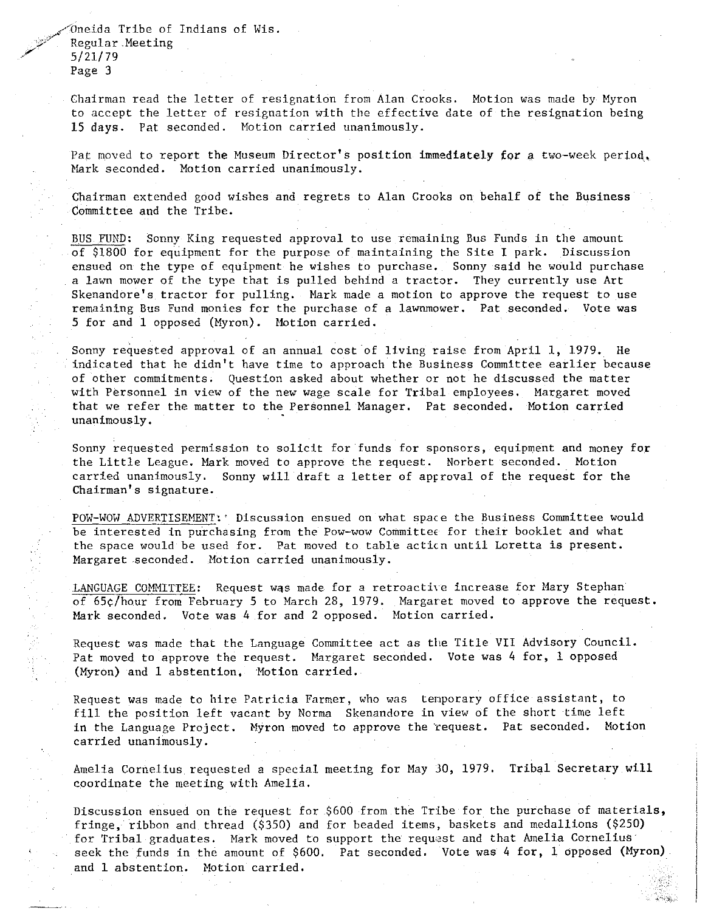Oneida Tribe of Indians of Wis. Regular Meeting<br>5/21/79 Page 3

> Chairman read the letter of resignation from Alan Crooks. Motion was made by Myron to accept the letter of resignation with the effective date of the resignation being 15 days. Pat seconded. Motion carried unanimously.

> Pat moved to report the Museum Director's position immediately for a two-week period. Mark seconded. Motion carried unanimously.

Chairman extended good wishes and regrets to Alan Crooks on behalf of the Business Committee and the Tribe.

BUS FUND: Sonny King requested approval to use remaining Bus Funds in the amount of \$1800 for equipment for the purpose of maintaining the Site I park. Discussion ensued on the type of equipment he wishes to purchase. Sonny said he would purchase a lawn mower of the type that is pulled behind a tractor. They currently use Art Skenandore's tractor for pulling. Mark made a motion to approve the request to use remaining Bus Fund monies for the purchase of a lawnmower. Pat seconded. Vote was 5 for and 1 opposed (Myron). Motion carried.

Sonny requested approval of an annual cost of living raise from April 1, 1979. He indicated that he didn't have time to approach the Business Committee earlier because of other commitments. Question asked about whether or not he discussed the matter with Personnel in view of the new wage scale for Tribal employees. Margaret moved that we refer the matter to the Personnel Manager. Pat seconded. Motion carried unanimously.

Sonny requested permission to solicit for funds for sponsors, equipment and money for the Little League. Mark moved to approve the request. Norbert seconded. Motion carried unanimously. Sonny will draft a letter of aprroval of the request for the Chairman's signature.

POW-WOW ADVERTISEMENT:' Discussion ensued on what space the Business Committee would be interested in purchasing from the Pow-wow Committee for their booklet and what the space would be used for. Pat moved to table acticn until Loretta is present. Margaret seconded. Motion carried unanimously.

LANGUAGE COMMITTEE: Request was made for a retroactive increase for Mary Stephan of 65¢/hour from February 5 to March 28, 1979. Margaret moved to approve the request. Mark seconded. Vote was 4 for and 2 opposed. Motion carried.

Request was made that the Language Committee act as the Title VII Advisory Council. Pat moved to approve the request. Margaret seconded. Vote was 4 for, 1 opposed (Myron) and 1 abstention, Motion carried.

**Request was made to hire Patricia Farmer, who was tenporary office assistant, to**  fill the position left vacant by Norma Skenandore in view of the short time left in the Language Project. Myron moved to approve the request. Pat seconded. Motion carried unanimously.

Amelia Cornelius requested a special meeting for May 30, 1979. Tribal Secretary will coordinate the meeting with Amelia.

Discussion ensued on the request for \$600 from the Tribe for the purchase of materials, fringe, ribbon and thread (\$350) and for beaded items, baskets and medallions (\$250) for Tribal graduates. Mark moved to support the request and that Amelia Cornelius seek the funds in the amount of \$600. Pat seconded. Vote was 4 for, 1 opposed (Myron) and 1 abstention. Motion carried.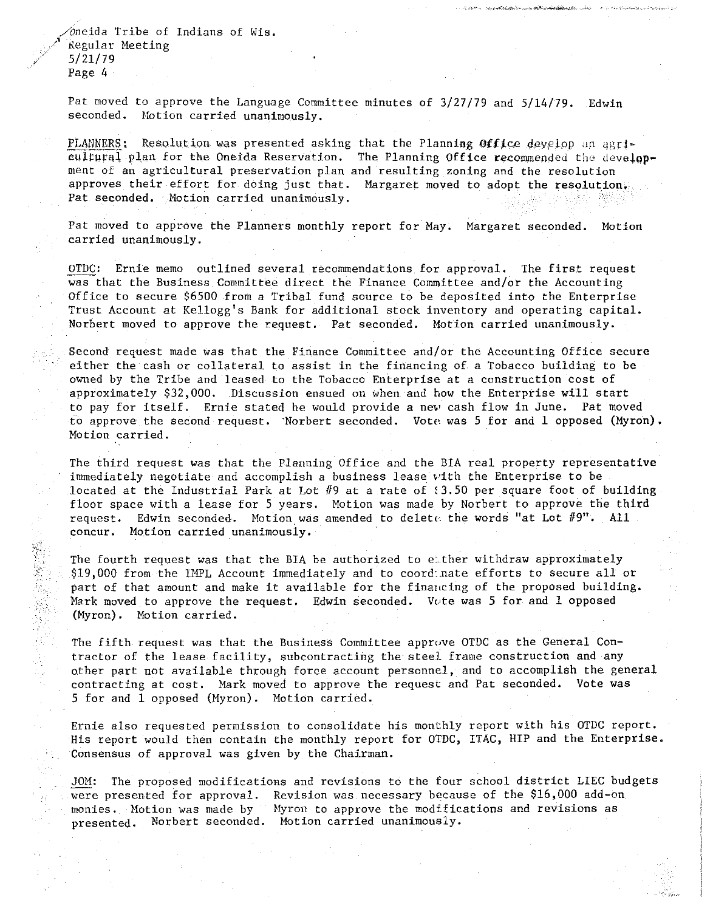,/Oneida Tribe of Indians of Wis. *Regular Meeting /* 5/21/79 Page 4

 $\frac{1}{2}$ 

Pat moved to approve the Language Committee minutes of 3/27/79 and 5/14/79. Edwin seconded. Hotion carried unanimously.

PLANNERS: Resolution was presented asking that the Planning *Office develop* an agricultural plan for the Oneida Reservation. The Planning Office recommended the development of an agricultural preservation plan and resulting zoning and the resolution approves their effort for doing just that. Margaret moved to adopt the resolution, Pat seconded. Motion carried unanimously.

Pat moved to approve the Planners monthly report for May. Margaret seconded. Motion carried unanimously.

OTDC: Ernie memo outlined several recommendations for approval. The first request was that the Business Committee direct the Finance Committee and/or the Accounting Office to secure \$6500 from a Tribal fund source to be deposited into the Enterprise Trust Account at Kellogg's Bank for additional stock inventory and operating capital. Norbert moved to approve the request. Pat seconded. Motion carried unanimously.

Second request made was that the Finance Committee and/or the Accounting Office secure either the cash or collateral to assist in the financing of a Tobacco building to be owned by the Tribe and leased to the Tobacco Enterprise at a construction cost of approximately \$32,000. Discussion ensued on when and how the Enterprise will start to pay for itself. Ernie stated he would provide a new cash flow in June. Pat moved to approve the second request. ·Norbert seconded. Vote was 5 for and 1 opposed (Myron). Motion carried.

The third request was that the Planning Office and the BIA real property representative immediately negotiate and accomplish a business lease with the Enterprise to be located at the Industrial Park at Lot  $#9$  at a rate of  $$3.50$  per square foot of building floor space with a lease for 5 years. Motion was made by Norbert to approve the third request. Edwin seconded. Motion was amended to delete the words "at Lot  $\#9"$ . All concur. Motion carried unanimously.

The fourth request was that the BIA be authorized to either withdraw approximately \$19,000 from the IMPL Account immediately and to coord:.nate efforts to secure all or part of that amount and make it available for the finaucing of the proposed building. Mark moved to approve the request. Edwin seconded. Vote was 5 for and 1 opposed (Myron). Motion carried.

The fifth request was that the Business Committee approve OTDC as the General Contractor of the lease facility, subcontracting the steel frame construction and any other part not available through force account personnel, and to accomplish the general contracting at cost. Mark moved to approve the request and Pat seconded. Vote was 5 for and 1 opposed (Hyron). Motion carried.

Ernie also requested permission to consolidate his monthly report with his OTDC report. His report would then contain the monthly report for OTDC, ITAC, HIP and the Enterprise. Consensus of approval was given by the Chairman.

JOM: The proposed modifications and revisions to the four school district LIEC budgets were presented for approval. Revision was necessary because of the \$16,000 add-on monies. Motion was made by Myron to approve the modifications and revisions as presented. Norbert seconded. Motion carried unanimously.